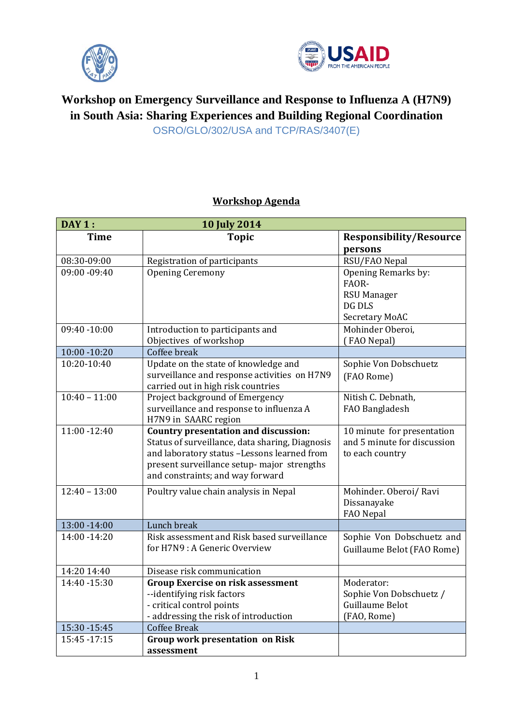



## **Workshop on Emergency Surveillance and Response to Influenza A (H7N9) in South Asia: Sharing Experiences and Building Regional Coordination** OSRO/GLO/302/USA and TCP/RAS/3407(E)

## **Workshop Agenda**

| <b>DAY 1:</b>   | <b>10 July 2014</b>                                                                                                                                                                                                              |                                                                              |
|-----------------|----------------------------------------------------------------------------------------------------------------------------------------------------------------------------------------------------------------------------------|------------------------------------------------------------------------------|
| <b>Time</b>     | <b>Topic</b>                                                                                                                                                                                                                     | <b>Responsibility/Resource</b><br>persons                                    |
| 08:30-09:00     | Registration of participants                                                                                                                                                                                                     | RSU/FAO Nepal                                                                |
| 09:00 -09:40    | <b>Opening Ceremony</b>                                                                                                                                                                                                          | Opening Remarks by:<br>FAOR-<br><b>RSU Manager</b>                           |
|                 |                                                                                                                                                                                                                                  | DG DLS<br><b>Secretary MoAC</b>                                              |
| $09:40 - 10:00$ | Introduction to participants and<br>Objectives of workshop                                                                                                                                                                       | Mohinder Oberoi,<br>(FAO Nepal)                                              |
| $10:00 - 10:20$ | Coffee break                                                                                                                                                                                                                     |                                                                              |
| 10:20-10:40     | Update on the state of knowledge and<br>surveillance and response activities on H7N9<br>carried out in high risk countries                                                                                                       | Sophie Von Dobschuetz<br>(FAO Rome)                                          |
| $10:40 - 11:00$ | Project background of Emergency<br>surveillance and response to influenza A<br>H7N9 in SAARC region                                                                                                                              | Nitish C. Debnath,<br>FAO Bangladesh                                         |
| $11:00 - 12:40$ | <b>Country presentation and discussion:</b><br>Status of surveillance, data sharing, Diagnosis<br>and laboratory status -Lessons learned from<br>present surveillance setup- major strengths<br>and constraints; and way forward | 10 minute for presentation<br>and 5 minute for discussion<br>to each country |
| $12:40 - 13:00$ | Poultry value chain analysis in Nepal                                                                                                                                                                                            | Mohinder. Oberoi/ Ravi<br>Dissanayake<br>FAO Nepal                           |
| $13:00 - 14:00$ | Lunch break                                                                                                                                                                                                                      |                                                                              |
| 14:00 - 14:20   | Risk assessment and Risk based surveillance<br>for H7N9 : A Generic Overview                                                                                                                                                     | Sophie Von Dobschuetz and<br>Guillaume Belot (FAO Rome)                      |
| 14:20 14:40     | Disease risk communication                                                                                                                                                                                                       |                                                                              |
| 14:40 - 15:30   | <b>Group Exercise on risk assessment</b><br>--identifying risk factors<br>- critical control points<br>- addressing the risk of introduction                                                                                     | Moderator:<br>Sophie Von Dobschuetz /<br>Guillaume Belot<br>(FAO, Rome)      |
| 15:30 - 15:45   | <b>Coffee Break</b>                                                                                                                                                                                                              |                                                                              |
| 15:45 - 17:15   | <b>Group work presentation on Risk</b><br>assessment                                                                                                                                                                             |                                                                              |